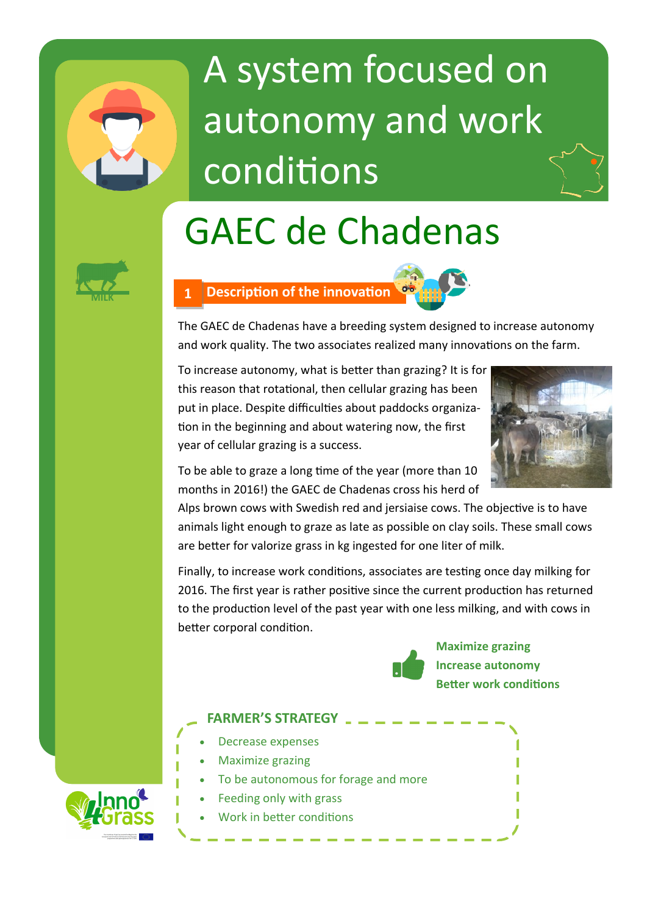

# A system focused on autonomy and work conditions

## GAEC de Chadenas



### **MILK 1 Description of the innovation**



The GAEC de Chadenas have a breeding system designed to increase autonomy and work quality. The two associates realized many innovations on the farm.

To increase autonomy, what is better than grazing? It is for this reason that rotational, then cellular grazing has been put in place. Despite difficulties about paddocks organization in the beginning and about watering now, the first year of cellular grazing is a success.



To be able to graze a long time of the year (more than 10 months in 2016!) the GAEC de Chadenas cross his herd of

Alps brown cows with Swedish red and jersiaise cows. The objective is to have animals light enough to graze as late as possible on clay soils. These small cows are better for valorize grass in kg ingested for one liter of milk.

Finally, to increase work conditions, associates are testing once day milking for 2016. The first year is rather positive since the current production has returned to the production level of the past year with one less milking, and with cows in better corporal condition.



#### **FARMER'S STRATEGY**

- Decrease expenses
- Maximize grazing
- To be autonomous for forage and more
- Feeding only with grass
- Work in better conditions